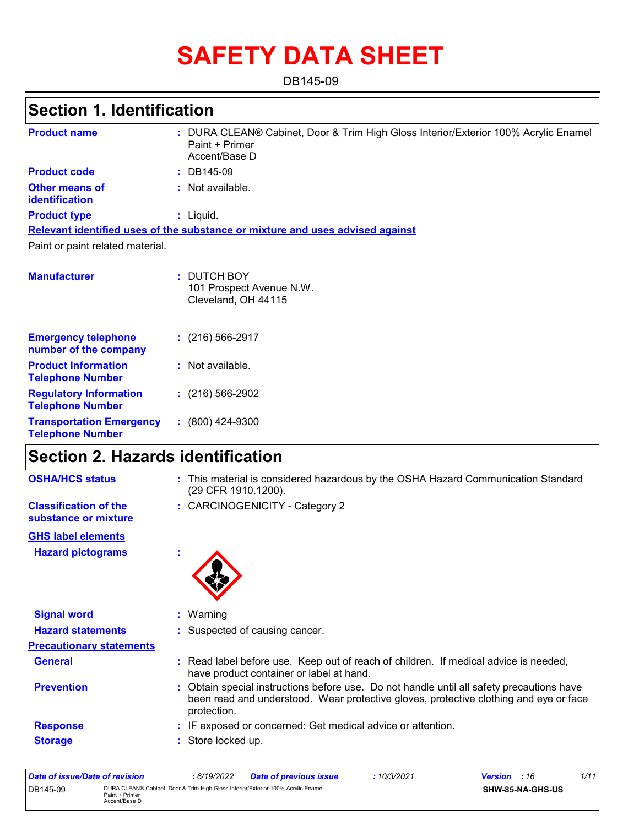# **SAFETY DATA SHEET**

DB145-09

### **Section 1. Identification**

| <b>Product name</b>                                        | : DURA CLEAN® Cabinet, Door & Trim High Gloss Interior/Exterior 100% Acrylic Enamel<br>Paint + Primer<br>Accent/Base D |
|------------------------------------------------------------|------------------------------------------------------------------------------------------------------------------------|
| <b>Product code</b>                                        | : DB145-09                                                                                                             |
| <b>Other means of</b><br>identification                    | : Not available.                                                                                                       |
| <b>Product type</b>                                        | : Liquid.                                                                                                              |
|                                                            | Relevant identified uses of the substance or mixture and uses advised against                                          |
| Paint or paint related material.                           |                                                                                                                        |
| <b>Manufacturer</b>                                        | : DUTCH BOY<br>101 Prospect Avenue N.W.<br>Cleveland, OH 44115                                                         |
| <b>Emergency telephone</b><br>number of the company        | $(216)$ 566-2917                                                                                                       |
| <b>Product Information</b><br><b>Telephone Number</b>      | : Not available.                                                                                                       |
| <b>Regulatory Information</b><br><b>Telephone Number</b>   | $(216)$ 566-2902                                                                                                       |
| <b>Transportation Emergency</b><br><b>Telephone Number</b> | $: (800)$ 424-9300                                                                                                     |

### **Section 2. Hazards identification**

| <b>OSHA/HCS status</b>                               | : This material is considered hazardous by the OSHA Hazard Communication Standard<br>(29 CFR 1910.1200).                                                                                        |
|------------------------------------------------------|-------------------------------------------------------------------------------------------------------------------------------------------------------------------------------------------------|
| <b>Classification of the</b><br>substance or mixture | : CARCINOGENICITY - Category 2                                                                                                                                                                  |
| <b>GHS label elements</b>                            |                                                                                                                                                                                                 |
| <b>Hazard pictograms</b>                             | ×                                                                                                                                                                                               |
| <b>Signal word</b>                                   | $:$ Warning                                                                                                                                                                                     |
| <b>Hazard statements</b>                             | : Suspected of causing cancer.                                                                                                                                                                  |
| <b>Precautionary statements</b>                      |                                                                                                                                                                                                 |
| <b>General</b>                                       | Read label before use. Keep out of reach of children. If medical advice is needed,<br>have product container or label at hand.                                                                  |
| <b>Prevention</b>                                    | Obtain special instructions before use. Do not handle until all safety precautions have<br>been read and understood. Wear protective gloves, protective clothing and eye or face<br>protection. |
| <b>Response</b>                                      | IF exposed or concerned: Get medical advice or attention.                                                                                                                                       |
| <b>Storage</b>                                       | Store locked up.                                                                                                                                                                                |

| Date of issue/Date of revision |                                                                                                                      | 6/19/2022 | <b>Date of previous issue</b> | 10/3/2021        | <b>Version</b> : 16 | 1/11 |
|--------------------------------|----------------------------------------------------------------------------------------------------------------------|-----------|-------------------------------|------------------|---------------------|------|
| DB145-09                       | DURA CLEAN® Cabinet, Door & Trim High Gloss Interior/Exterior 100% Acrylic Enamel<br>Paint + Primer<br>Accent/Base D |           |                               | SHW-85-NA-GHS-US |                     |      |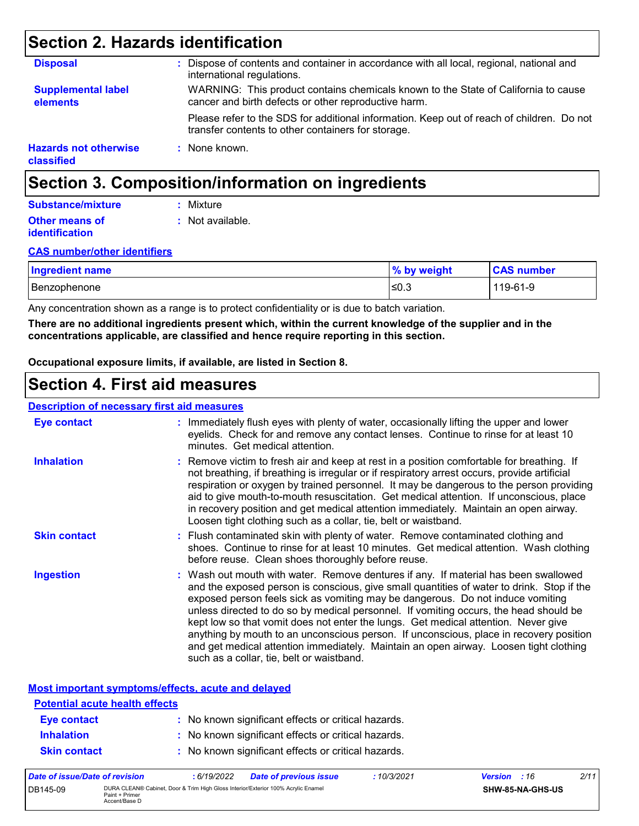### **Section 2. Hazards identification**

| <b>Disposal</b>                            | Dispose of contents and container in accordance with all local, regional, national and<br>international regulations.                            |
|--------------------------------------------|-------------------------------------------------------------------------------------------------------------------------------------------------|
| <b>Supplemental label</b><br>elements      | WARNING: This product contains chemicals known to the State of California to cause<br>cancer and birth defects or other reproductive harm.      |
|                                            | Please refer to the SDS for additional information. Keep out of reach of children. Do not<br>transfer contents to other containers for storage. |
| <b>Hazards not otherwise</b><br>classified | : None known.                                                                                                                                   |

### **Section 3. Composition/information on ingredients**

#### **Other means of identification :** Not available. **Substance/mixture :** Mixture

#### **CAS number/other identifiers**

| <b>Ingredient name</b> | % by weight | <b>CAS number</b> |
|------------------------|-------------|-------------------|
| Benzophenone           | '≤0.3       | 119-61-9          |

Any concentration shown as a range is to protect confidentiality or is due to batch variation.

**There are no additional ingredients present which, within the current knowledge of the supplier and in the concentrations applicable, are classified and hence require reporting in this section.**

**Occupational exposure limits, if available, are listed in Section 8.**

### **Section 4. First aid measures**

#### **Description of necessary first aid measures**

| <b>Eye contact</b>  | : Immediately flush eyes with plenty of water, occasionally lifting the upper and lower<br>eyelids. Check for and remove any contact lenses. Continue to rinse for at least 10<br>minutes. Get medical attention.                                                                                                                                                                                                                                                                                                                                                                                                                                                                 |
|---------------------|-----------------------------------------------------------------------------------------------------------------------------------------------------------------------------------------------------------------------------------------------------------------------------------------------------------------------------------------------------------------------------------------------------------------------------------------------------------------------------------------------------------------------------------------------------------------------------------------------------------------------------------------------------------------------------------|
| <b>Inhalation</b>   | : Remove victim to fresh air and keep at rest in a position comfortable for breathing. If<br>not breathing, if breathing is irregular or if respiratory arrest occurs, provide artificial<br>respiration or oxygen by trained personnel. It may be dangerous to the person providing<br>aid to give mouth-to-mouth resuscitation. Get medical attention. If unconscious, place<br>in recovery position and get medical attention immediately. Maintain an open airway.<br>Loosen tight clothing such as a collar, tie, belt or waistband.                                                                                                                                         |
| <b>Skin contact</b> | : Flush contaminated skin with plenty of water. Remove contaminated clothing and<br>shoes. Continue to rinse for at least 10 minutes. Get medical attention. Wash clothing<br>before reuse. Clean shoes thoroughly before reuse.                                                                                                                                                                                                                                                                                                                                                                                                                                                  |
| <b>Ingestion</b>    | : Wash out mouth with water. Remove dentures if any. If material has been swallowed<br>and the exposed person is conscious, give small quantities of water to drink. Stop if the<br>exposed person feels sick as vomiting may be dangerous. Do not induce vomiting<br>unless directed to do so by medical personnel. If vomiting occurs, the head should be<br>kept low so that vomit does not enter the lungs. Get medical attention. Never give<br>anything by mouth to an unconscious person. If unconscious, place in recovery position<br>and get medical attention immediately. Maintain an open airway. Loosen tight clothing<br>such as a collar, tie, belt or waistband. |

**Most important symptoms/effects, acute and delayed**

| Data of incura/Data of variation      | 6/40/0000<br>Data af nuaviaua iaana                 | .10/2/0004 | $\frac{1}{2}$ | $\sim$ |
|---------------------------------------|-----------------------------------------------------|------------|---------------|--------|
| <b>Skin contact</b>                   | : No known significant effects or critical hazards. |            |               |        |
| <b>Inhalation</b>                     | : No known significant effects or critical hazards. |            |               |        |
| Eye contact                           | : No known significant effects or critical hazards. |            |               |        |
| <b>Potential acute health effects</b> |                                                     |            |               |        |
|                                       |                                                     |            |               |        |

| Date of issue/Date of revision |                                                                                                                      | . 6/19/2022 | <b>Date of previous issue</b> | 10/3/2021 | <b>Version</b> : 16 |                  | 2/11 |
|--------------------------------|----------------------------------------------------------------------------------------------------------------------|-------------|-------------------------------|-----------|---------------------|------------------|------|
| DB145-09                       | DURA CLEAN® Cabinet. Door & Trim High Gloss Interior/Exterior 100% Acrylic Enamel<br>Paint + Primer<br>Accent/Base D |             |                               |           |                     | SHW-85-NA-GHS-US |      |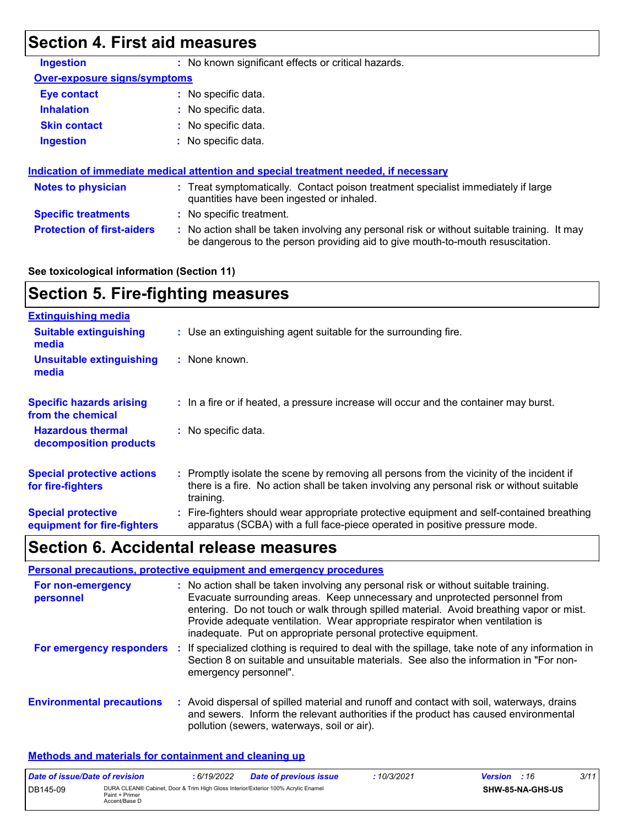### **Section 4. First aid measures**

| <b>Ingestion</b>                    | : No known significant effects or critical hazards.                                                                                                                           |  |
|-------------------------------------|-------------------------------------------------------------------------------------------------------------------------------------------------------------------------------|--|
| <b>Over-exposure signs/symptoms</b> |                                                                                                                                                                               |  |
| Eye contact                         | : No specific data.                                                                                                                                                           |  |
| <b>Inhalation</b>                   | : No specific data.                                                                                                                                                           |  |
| <b>Skin contact</b>                 | : No specific data.                                                                                                                                                           |  |
| <b>Ingestion</b>                    | $:$ No specific data.                                                                                                                                                         |  |
|                                     | Indication of immediate medical attention and special treatment needed, if necessary                                                                                          |  |
| <b>Notes to physician</b>           | : Treat symptomatically. Contact poison treatment specialist immediately if large<br>quantities have been ingested or inhaled.                                                |  |
| <b>Specific treatments</b>          | : No specific treatment.                                                                                                                                                      |  |
| <b>Protection of first-aiders</b>   | : No action shall be taken involving any personal risk or without suitable training. It may<br>be dangerous to the person providing aid to give mouth-to-mouth resuscitation. |  |

#### **See toxicological information (Section 11)**

### **Section 5. Fire-fighting measures**

| <b>Extinguishing media</b>                               |                                                                                                                                                                                                     |
|----------------------------------------------------------|-----------------------------------------------------------------------------------------------------------------------------------------------------------------------------------------------------|
| <b>Suitable extinguishing</b><br>media                   | : Use an extinguishing agent suitable for the surrounding fire.                                                                                                                                     |
| <b>Unsuitable extinguishing</b><br>media                 | : None known.                                                                                                                                                                                       |
| <b>Specific hazards arising</b><br>from the chemical     | : In a fire or if heated, a pressure increase will occur and the container may burst.                                                                                                               |
| <b>Hazardous thermal</b><br>decomposition products       | : No specific data.                                                                                                                                                                                 |
| <b>Special protective actions</b><br>for fire-fighters   | : Promptly isolate the scene by removing all persons from the vicinity of the incident if<br>there is a fire. No action shall be taken involving any personal risk or without suitable<br>training. |
| <b>Special protective</b><br>equipment for fire-fighters | : Fire-fighters should wear appropriate protective equipment and self-contained breathing<br>apparatus (SCBA) with a full face-piece operated in positive pressure mode.                            |

### **Section 6. Accidental release measures**

|                                  | Personal precautions, protective equipment and emergency procedures                                                                                                                                                                                                                                                                                                                                              |
|----------------------------------|------------------------------------------------------------------------------------------------------------------------------------------------------------------------------------------------------------------------------------------------------------------------------------------------------------------------------------------------------------------------------------------------------------------|
| For non-emergency<br>personnel   | : No action shall be taken involving any personal risk or without suitable training.<br>Evacuate surrounding areas. Keep unnecessary and unprotected personnel from<br>entering. Do not touch or walk through spilled material. Avoid breathing vapor or mist.<br>Provide adequate ventilation. Wear appropriate respirator when ventilation is<br>inadequate. Put on appropriate personal protective equipment. |
| For emergency responders         | : If specialized clothing is required to deal with the spillage, take note of any information in<br>Section 8 on suitable and unsuitable materials. See also the information in "For non-<br>emergency personnel".                                                                                                                                                                                               |
| <b>Environmental precautions</b> | : Avoid dispersal of spilled material and runoff and contact with soil, waterways, drains<br>and sewers. Inform the relevant authorities if the product has caused environmental<br>pollution (sewers, waterways, soil or air).                                                                                                                                                                                  |

#### **Methods and materials for containment and cleaning up**

| Date of issue/Date of revision |                                                                                                                      | 6/19/2022 | <b>Date of previous issue</b> | : 10/3/2021 | <b>Version</b> : 16     |  | 3/11 |
|--------------------------------|----------------------------------------------------------------------------------------------------------------------|-----------|-------------------------------|-------------|-------------------------|--|------|
| DB145-09                       | DURA CLEAN® Cabinet, Door & Trim High Gloss Interior/Exterior 100% Acrylic Enamel<br>Paint + Primer<br>Accent/Base D |           |                               |             | <b>SHW-85-NA-GHS-US</b> |  |      |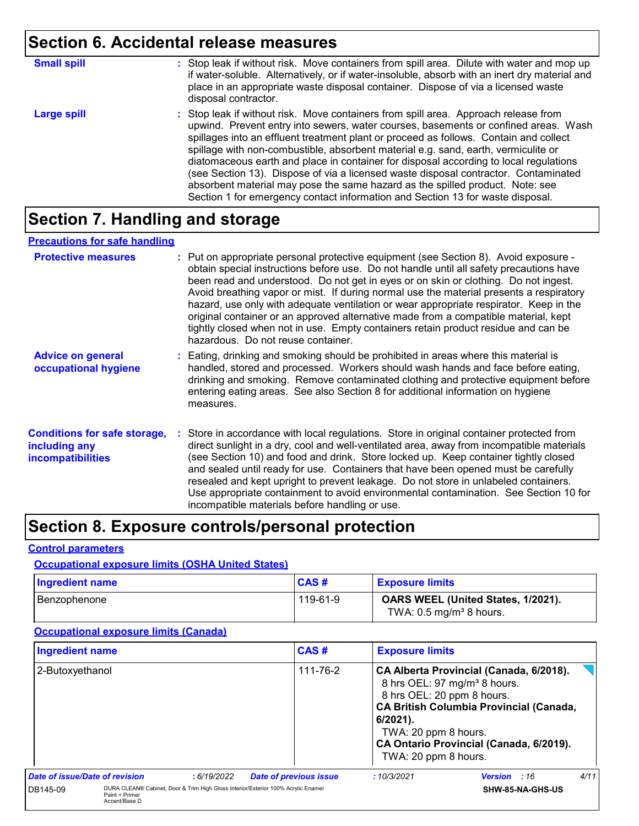### **Section 6. Accidental release measures**

| <b>Small spill</b> | : Stop leak if without risk. Move containers from spill area. Dilute with water and mop up<br>if water-soluble. Alternatively, or if water-insoluble, absorb with an inert dry material and<br>place in an appropriate waste disposal container. Dispose of via a licensed waste<br>disposal contractor.                                                                                                                                                                                                                                                                                                                                                                                                     |
|--------------------|--------------------------------------------------------------------------------------------------------------------------------------------------------------------------------------------------------------------------------------------------------------------------------------------------------------------------------------------------------------------------------------------------------------------------------------------------------------------------------------------------------------------------------------------------------------------------------------------------------------------------------------------------------------------------------------------------------------|
| <b>Large spill</b> | : Stop leak if without risk. Move containers from spill area. Approach release from<br>upwind. Prevent entry into sewers, water courses, basements or confined areas. Wash<br>spillages into an effluent treatment plant or proceed as follows. Contain and collect<br>spillage with non-combustible, absorbent material e.g. sand, earth, vermiculite or<br>diatomaceous earth and place in container for disposal according to local regulations<br>(see Section 13). Dispose of via a licensed waste disposal contractor. Contaminated<br>absorbent material may pose the same hazard as the spilled product. Note: see<br>Section 1 for emergency contact information and Section 13 for waste disposal. |

### **Section 7. Handling and storage**

#### **Precautions for safe handling**

| <b>Protective measures</b>                                                       | : Put on appropriate personal protective equipment (see Section 8). Avoid exposure -<br>obtain special instructions before use. Do not handle until all safety precautions have<br>been read and understood. Do not get in eyes or on skin or clothing. Do not ingest.<br>Avoid breathing vapor or mist. If during normal use the material presents a respiratory<br>hazard, use only with adequate ventilation or wear appropriate respirator. Keep in the<br>original container or an approved alternative made from a compatible material, kept<br>tightly closed when not in use. Empty containers retain product residue and can be<br>hazardous. Do not reuse container. |  |
|----------------------------------------------------------------------------------|--------------------------------------------------------------------------------------------------------------------------------------------------------------------------------------------------------------------------------------------------------------------------------------------------------------------------------------------------------------------------------------------------------------------------------------------------------------------------------------------------------------------------------------------------------------------------------------------------------------------------------------------------------------------------------|--|
| <b>Advice on general</b><br>occupational hygiene                                 | : Eating, drinking and smoking should be prohibited in areas where this material is<br>handled, stored and processed. Workers should wash hands and face before eating,<br>drinking and smoking. Remove contaminated clothing and protective equipment before<br>entering eating areas. See also Section 8 for additional information on hygiene<br>measures.                                                                                                                                                                                                                                                                                                                  |  |
| <b>Conditions for safe storage,</b><br>including any<br><b>incompatibilities</b> | : Store in accordance with local regulations. Store in original container protected from<br>direct sunlight in a dry, cool and well-ventilated area, away from incompatible materials<br>(see Section 10) and food and drink. Store locked up. Keep container tightly closed<br>and sealed until ready for use. Containers that have been opened must be carefully<br>resealed and kept upright to prevent leakage. Do not store in unlabeled containers.<br>Use appropriate containment to avoid environmental contamination. See Section 10 for<br>incompatible materials before handling or use.                                                                            |  |

### **Section 8. Exposure controls/personal protection**

#### **Control parameters**

### **Occupational exposure limits (OSHA United States)**

| <b>Ingredient name</b> | <b>CAS#</b> | <b>Exposure limits</b>                                                   |
|------------------------|-------------|--------------------------------------------------------------------------|
| l Benzophenone         | 119-61-9    | OARS WEEL (United States, 1/2021).<br>TWA: $0.5 \text{ mg/m}^3$ 8 hours. |

#### **Occupational exposure limits (Canada)**

| <b>Ingredient name</b>         |                                 |            | CAS#                                                                              | <b>Exposure limits</b>                                                                 |                                                                                                                                                                                  |      |
|--------------------------------|---------------------------------|------------|-----------------------------------------------------------------------------------|----------------------------------------------------------------------------------------|----------------------------------------------------------------------------------------------------------------------------------------------------------------------------------|------|
| 2-Butoxyethanol                |                                 |            | 111-76-2                                                                          | 8 hrs OEL: 20 ppm 8 hours.<br>6/2021).<br>TWA: 20 ppm 8 hours.<br>TWA: 20 ppm 8 hours. | CA Alberta Provincial (Canada, 6/2018).<br>8 hrs OEL: 97 mg/m <sup>3</sup> 8 hours.<br><b>CA British Columbia Provincial (Canada,</b><br>CA Ontario Provincial (Canada, 6/2019). |      |
| Date of issue/Date of revision |                                 | :6/19/2022 | <b>Date of previous issue</b>                                                     | :10/3/2021                                                                             | Version : 16                                                                                                                                                                     | 4/11 |
| DB145-09                       | Paint + Primer<br>Accent/Base D |            | DURA CLEAN® Cabinet, Door & Trim High Gloss Interior/Exterior 100% Acrylic Enamel |                                                                                        | SHW-85-NA-GHS-US                                                                                                                                                                 |      |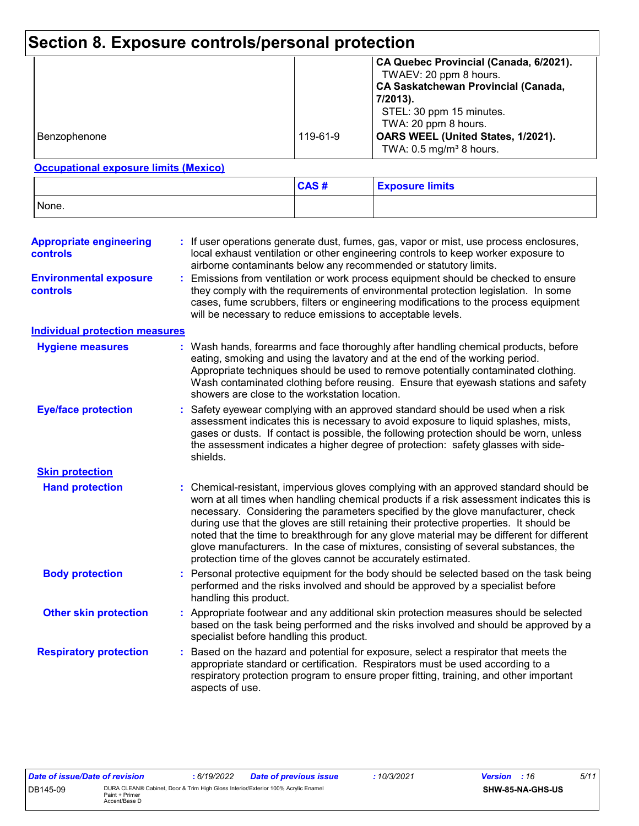### **Section 8. Exposure controls/personal protection**

|              |          | CA Quebec Provincial (Canada, 6/2021).<br>TWAEV: 20 ppm 8 hours.<br><b>CA Saskatchewan Provincial (Canada,</b><br>7/2013).<br>STEL: 30 ppm 15 minutes.<br>TWA: 20 ppm 8 hours. |
|--------------|----------|--------------------------------------------------------------------------------------------------------------------------------------------------------------------------------|
| Benzophenone | 119-61-9 | OARS WEEL (United States, 1/2021).<br>TWA: $0.5 \text{ mg/m}^3$ 8 hours.                                                                                                       |

#### **Occupational exposure limits (Mexico)**

|       | CAS# | <b>Exposure limits</b> |
|-------|------|------------------------|
| None. |      |                        |

| <b>Appropriate engineering</b><br><b>controls</b> | If user operations generate dust, fumes, gas, vapor or mist, use process enclosures,<br>local exhaust ventilation or other engineering controls to keep worker exposure to<br>airborne contaminants below any recommended or statutory limits.                                                                                                                                                                                                                                                                                                                                                                       |
|---------------------------------------------------|----------------------------------------------------------------------------------------------------------------------------------------------------------------------------------------------------------------------------------------------------------------------------------------------------------------------------------------------------------------------------------------------------------------------------------------------------------------------------------------------------------------------------------------------------------------------------------------------------------------------|
| <b>Environmental exposure</b><br>controls         | Emissions from ventilation or work process equipment should be checked to ensure<br>they comply with the requirements of environmental protection legislation. In some<br>cases, fume scrubbers, filters or engineering modifications to the process equipment<br>will be necessary to reduce emissions to acceptable levels.                                                                                                                                                                                                                                                                                        |
| <b>Individual protection measures</b>             |                                                                                                                                                                                                                                                                                                                                                                                                                                                                                                                                                                                                                      |
| <b>Hygiene measures</b>                           | Wash hands, forearms and face thoroughly after handling chemical products, before<br>eating, smoking and using the lavatory and at the end of the working period.<br>Appropriate techniques should be used to remove potentially contaminated clothing.<br>Wash contaminated clothing before reusing. Ensure that eyewash stations and safety<br>showers are close to the workstation location.                                                                                                                                                                                                                      |
| <b>Eye/face protection</b>                        | Safety eyewear complying with an approved standard should be used when a risk<br>assessment indicates this is necessary to avoid exposure to liquid splashes, mists,<br>gases or dusts. If contact is possible, the following protection should be worn, unless<br>the assessment indicates a higher degree of protection: safety glasses with side-<br>shields.                                                                                                                                                                                                                                                     |
| <b>Skin protection</b>                            |                                                                                                                                                                                                                                                                                                                                                                                                                                                                                                                                                                                                                      |
| <b>Hand protection</b>                            | Chemical-resistant, impervious gloves complying with an approved standard should be<br>worn at all times when handling chemical products if a risk assessment indicates this is<br>necessary. Considering the parameters specified by the glove manufacturer, check<br>during use that the gloves are still retaining their protective properties. It should be<br>noted that the time to breakthrough for any glove material may be different for different<br>glove manufacturers. In the case of mixtures, consisting of several substances, the<br>protection time of the gloves cannot be accurately estimated. |
| <b>Body protection</b>                            | Personal protective equipment for the body should be selected based on the task being<br>performed and the risks involved and should be approved by a specialist before<br>handling this product.                                                                                                                                                                                                                                                                                                                                                                                                                    |
| <b>Other skin protection</b>                      | : Appropriate footwear and any additional skin protection measures should be selected<br>based on the task being performed and the risks involved and should be approved by a<br>specialist before handling this product.                                                                                                                                                                                                                                                                                                                                                                                            |
| <b>Respiratory protection</b>                     | : Based on the hazard and potential for exposure, select a respirator that meets the<br>appropriate standard or certification. Respirators must be used according to a<br>respiratory protection program to ensure proper fitting, training, and other important<br>aspects of use.                                                                                                                                                                                                                                                                                                                                  |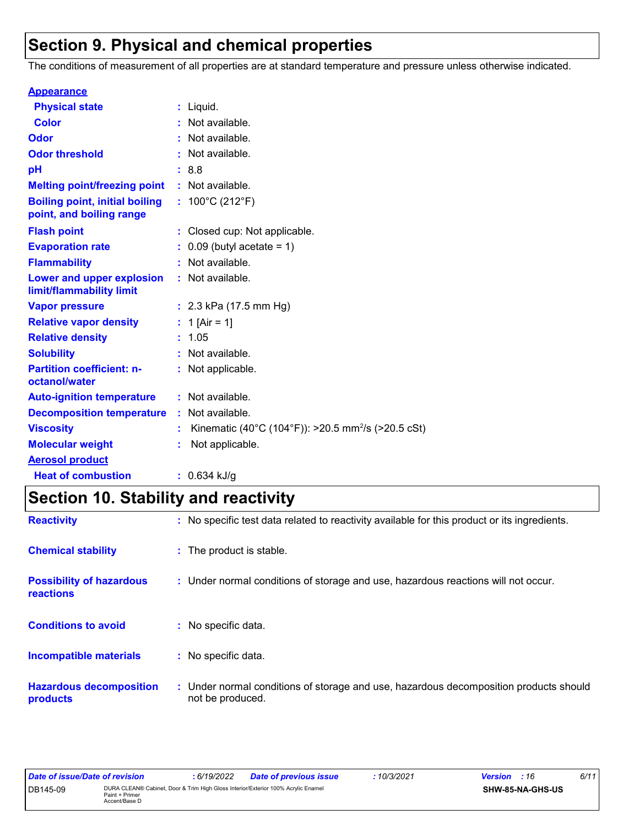### **Section 9. Physical and chemical properties**

The conditions of measurement of all properties are at standard temperature and pressure unless otherwise indicated.

| <b>Appearance</b>                                                 |    |                                                                |
|-------------------------------------------------------------------|----|----------------------------------------------------------------|
| <b>Physical state</b>                                             |    | $:$ Liquid.                                                    |
| <b>Color</b>                                                      |    | : Not available.                                               |
| Odor                                                              |    | : Not available.                                               |
| <b>Odor threshold</b>                                             |    | : Not available.                                               |
| рH                                                                |    | :8.8                                                           |
| <b>Melting point/freezing point</b>                               |    | : Not available.                                               |
| <b>Boiling point, initial boiling</b><br>point, and boiling range |    | : $100^{\circ}$ C (212 $^{\circ}$ F)                           |
| <b>Flash point</b>                                                |    | : Closed cup: Not applicable.                                  |
| <b>Evaporation rate</b>                                           |    | $0.09$ (butyl acetate = 1)                                     |
| <b>Flammability</b>                                               |    | : Not available.                                               |
| Lower and upper explosion<br>limit/flammability limit             |    | : Not available.                                               |
| <b>Vapor pressure</b>                                             |    | : $2.3$ kPa (17.5 mm Hg)                                       |
| <b>Relative vapor density</b>                                     |    | : 1 [Air = 1]                                                  |
| <b>Relative density</b>                                           |    | : 1.05                                                         |
| <b>Solubility</b>                                                 |    | : Not available.                                               |
| <b>Partition coefficient: n-</b><br>octanol/water                 |    | : Not applicable.                                              |
| <b>Auto-ignition temperature</b>                                  |    | : Not available.                                               |
| <b>Decomposition temperature</b>                                  |    | : Not available.                                               |
| <b>Viscosity</b>                                                  | t. | Kinematic (40°C (104°F)): >20.5 mm <sup>2</sup> /s (>20.5 cSt) |
| <b>Molecular weight</b>                                           |    | Not applicable.                                                |
| <b>Aerosol product</b>                                            |    |                                                                |
| <b>Heat of combustion</b>                                         |    | : $0.634$ kJ/g                                                 |

## **Section 10. Stability and reactivity**

| <b>Reactivity</b>                                   | : No specific test data related to reactivity available for this product or its ingredients.              |
|-----------------------------------------------------|-----------------------------------------------------------------------------------------------------------|
| <b>Chemical stability</b>                           | : The product is stable.                                                                                  |
| <b>Possibility of hazardous</b><br><b>reactions</b> | : Under normal conditions of storage and use, hazardous reactions will not occur.                         |
| <b>Conditions to avoid</b>                          | : No specific data.                                                                                       |
| <b>Incompatible materials</b>                       | : No specific data.                                                                                       |
| <b>Hazardous decomposition</b><br>products          | : Under normal conditions of storage and use, hazardous decomposition products should<br>not be produced. |

| Date of issue/Date of revision |                                                                                                                      | 6/19/2022 | <b>Date of previous issue</b> | 10/3/2021 | <b>Version</b> : 16 |                  | 6/11 |
|--------------------------------|----------------------------------------------------------------------------------------------------------------------|-----------|-------------------------------|-----------|---------------------|------------------|------|
| DB145-09                       | DURA CLEAN® Cabinet, Door & Trim High Gloss Interior/Exterior 100% Acrylic Enamel<br>Paint + Primer<br>Accent/Base D |           |                               |           |                     | SHW-85-NA-GHS-US |      |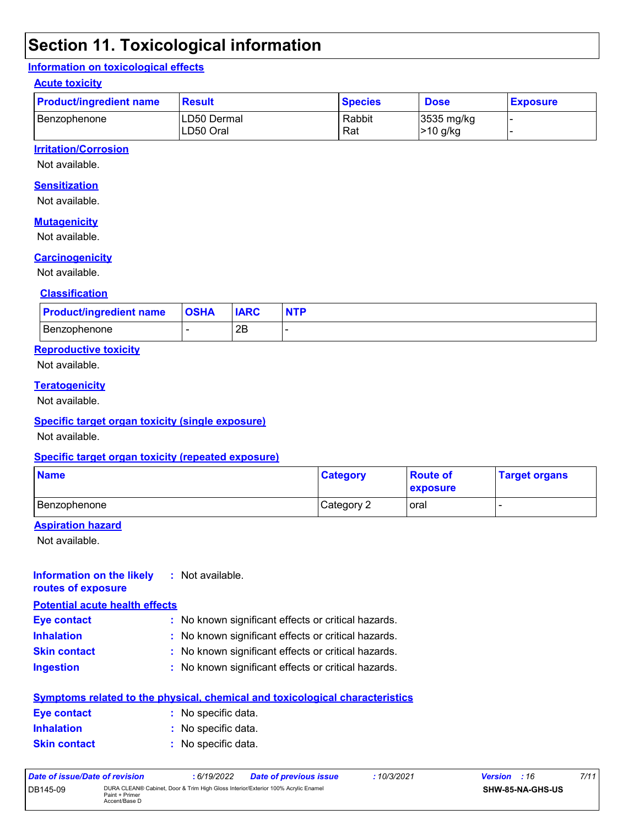### **Section 11. Toxicological information**

#### **Information on toxicological effects**

#### **Acute toxicity**

| <b>Product/ingredient name</b> | <b>Result</b>            | <b>Species</b> | <b>Dose</b>                      | <b>Exposure</b> |
|--------------------------------|--------------------------|----------------|----------------------------------|-----------------|
| Benzophenone                   | LD50 Dermal<br>LD50 Oral | Rabbit<br>Rat  | 3535 mg/kg<br><b>&gt;10 g/kg</b> |                 |

#### **Irritation/Corrosion**

Not available.

#### **Sensitization**

Not available.

#### **Mutagenicity**

Not available.

#### **Carcinogenicity**

Not available.

#### **Classification**

| <b>Product/ingredient name</b> | <b>OSHA</b> | <b>IARC</b> | <b>NTP</b> |
|--------------------------------|-------------|-------------|------------|
| l Benzophenone                 |             | 2B          |            |

#### **Reproductive toxicity**

Not available.

#### **Teratogenicity**

Not available.

#### **Specific target organ toxicity (single exposure)**

Not available.

#### **Specific target organ toxicity (repeated exposure)**

| <b>Name</b>    | <b>Category</b> | <b>Route of</b><br>exposure | <b>Target organs</b> |
|----------------|-----------------|-----------------------------|----------------------|
| l Benzophenone | Category 2      | loral                       |                      |

#### **Aspiration hazard**

Not available.

| Information on the likely<br>routes of exposure | : Not available.                                                                    |
|-------------------------------------------------|-------------------------------------------------------------------------------------|
| <b>Potential acute health effects</b>           |                                                                                     |
| Eye contact                                     | : No known significant effects or critical hazards.                                 |
| <b>Inhalation</b>                               | : No known significant effects or critical hazards.                                 |
| <b>Skin contact</b>                             | : No known significant effects or critical hazards.                                 |
| <b>Ingestion</b>                                | : No known significant effects or critical hazards.                                 |
|                                                 | <b>Symptoms related to the physical, chemical and toxicological characteristics</b> |
| Eye contact                                     | : No specific data.                                                                 |
| <b>Inhalation</b>                               | : No specific data.                                                                 |

#### **Skin contact** No specific data. **:**

| Date of issue/Date of revision |                                                                                                                      | : 6/19/2022 | <b>Date of previous issue</b> | : 10/3/2021 | <b>Version</b> : 16 |                         | 7/11 |
|--------------------------------|----------------------------------------------------------------------------------------------------------------------|-------------|-------------------------------|-------------|---------------------|-------------------------|------|
| DB145-09                       | DURA CLEAN® Cabinet, Door & Trim High Gloss Interior/Exterior 100% Acrylic Enamel<br>Paint + Primer<br>Accent/Base D |             |                               |             |                     | <b>SHW-85-NA-GHS-US</b> |      |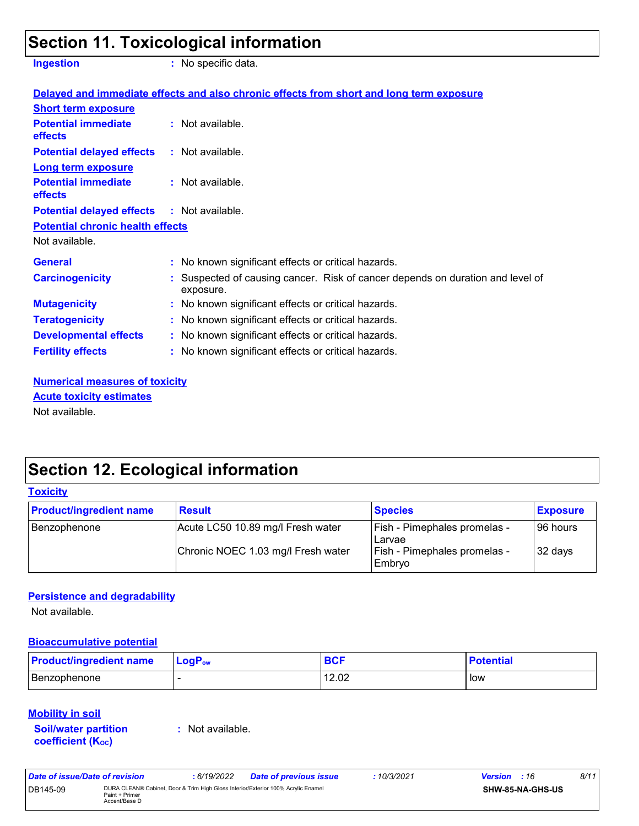### **Section 11. Toxicological information**

**Ingestion :** No specific data.

|                                                   | Delayed and immediate effects and also chronic effects from short and long term exposure    |
|---------------------------------------------------|---------------------------------------------------------------------------------------------|
| <b>Short term exposure</b>                        |                                                                                             |
| <b>Potential immediate</b><br>effects             | $:$ Not available.                                                                          |
| <b>Potential delayed effects : Not available.</b> |                                                                                             |
| <b>Long term exposure</b>                         |                                                                                             |
| <b>Potential immediate</b><br>effects             | $\therefore$ Not available.                                                                 |
| <b>Potential delayed effects : Not available.</b> |                                                                                             |
| <b>Potential chronic health effects</b>           |                                                                                             |
| Not available.                                    |                                                                                             |
| <b>General</b>                                    | : No known significant effects or critical hazards.                                         |
| <b>Carcinogenicity</b>                            | : Suspected of causing cancer. Risk of cancer depends on duration and level of<br>exposure. |
| <b>Mutagenicity</b>                               | : No known significant effects or critical hazards.                                         |
| <b>Teratogenicity</b>                             | : No known significant effects or critical hazards.                                         |
| <b>Developmental effects</b>                      | : No known significant effects or critical hazards.                                         |
| <b>Fertility effects</b>                          | : No known significant effects or critical hazards.                                         |

**Numerical measures of toxicity** Not available. **Acute toxicity estimates**

### **Section 12. Ecological information**

| <b>Toxicity</b>                |                                    |                                                 |                 |
|--------------------------------|------------------------------------|-------------------------------------------------|-----------------|
| <b>Product/ingredient name</b> | <b>Result</b>                      | <b>Species</b>                                  | <b>Exposure</b> |
| Benzophenone                   | Acute LC50 10.89 mg/l Fresh water  | <b>Fish - Pimephales promelas -</b><br>l Larvae | 196 hours       |
|                                | Chronic NOEC 1.03 mg/l Fresh water | <b>Fish - Pimephales promelas -</b><br>Embrvo   | 32 days         |

#### **Persistence and degradability**

Not available.

#### **Bioaccumulative potential**

| <b>Product/ingredient name</b> | $\mathsf{LogP}_\mathsf{ow}$ | BCI   | <b>Potential</b> |
|--------------------------------|-----------------------------|-------|------------------|
| Benzophenone                   |                             | 12.02 | low              |

#### **Mobility in soil**

**Soil/water partition coefficient (KOC)**

**:** Not available.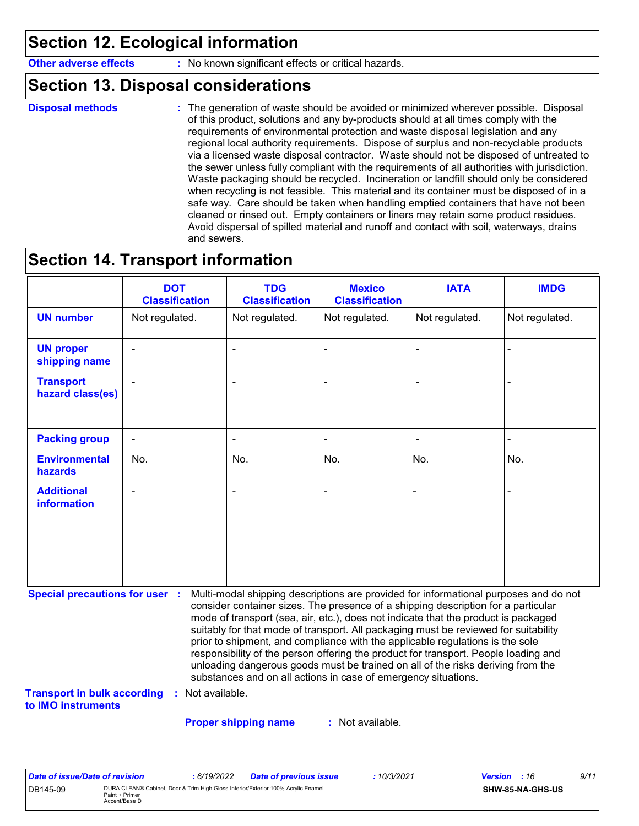### **Section 12. Ecological information**

**Other adverse effects** : No known significant effects or critical hazards.

### **Section 13. Disposal considerations**

**Disposal methods :**

The generation of waste should be avoided or minimized wherever possible. Disposal of this product, solutions and any by-products should at all times comply with the requirements of environmental protection and waste disposal legislation and any regional local authority requirements. Dispose of surplus and non-recyclable products via a licensed waste disposal contractor. Waste should not be disposed of untreated to the sewer unless fully compliant with the requirements of all authorities with jurisdiction. Waste packaging should be recycled. Incineration or landfill should only be considered when recycling is not feasible. This material and its container must be disposed of in a safe way. Care should be taken when handling emptied containers that have not been cleaned or rinsed out. Empty containers or liners may retain some product residues. Avoid dispersal of spilled material and runoff and contact with soil, waterways, drains and sewers.

### **Section 14. Transport information**

|                                         | <b>DOT</b><br><b>Classification</b> | <b>TDG</b><br><b>Classification</b> | <b>Mexico</b><br><b>Classification</b> | <b>IATA</b>    | <b>IMDG</b>    |
|-----------------------------------------|-------------------------------------|-------------------------------------|----------------------------------------|----------------|----------------|
| <b>UN number</b>                        | Not regulated.                      | Not regulated.                      | Not regulated.                         | Not regulated. | Not regulated. |
| <b>UN proper</b><br>shipping name       | ٠                                   | $\blacksquare$                      |                                        |                |                |
| <b>Transport</b><br>hazard class(es)    | $\overline{\phantom{0}}$            | $\blacksquare$                      |                                        |                |                |
| <b>Packing group</b>                    | $\blacksquare$                      | $\overline{\phantom{a}}$            |                                        |                | $\blacksquare$ |
| <b>Environmental</b><br>hazards         | No.                                 | No.                                 | No.                                    | No.            | No.            |
| <b>Additional</b><br><b>information</b> | ٠                                   | $\blacksquare$                      |                                        |                | ۰              |

**Special precautions for user :** Multi-modal shipping descriptions are provided for informational purposes and do not consider container sizes. The presence of a shipping description for a particular mode of transport (sea, air, etc.), does not indicate that the product is packaged suitably for that mode of transport. All packaging must be reviewed for suitability prior to shipment, and compliance with the applicable regulations is the sole responsibility of the person offering the product for transport. People loading and unloading dangerous goods must be trained on all of the risks deriving from the substances and on all actions in case of emergency situations.

**Transport in bulk according to IMO instruments :** Not available.

**Proper shipping name :**

: Not available.

| Date of issue/Date of revision |                                                                                                                      | : 6/19/2022 | <b>Date of previous issue</b> | : 10/3/2021 | <b>Version</b> : 16 |                  | 9/11 |
|--------------------------------|----------------------------------------------------------------------------------------------------------------------|-------------|-------------------------------|-------------|---------------------|------------------|------|
| DB145-09                       | DURA CLEAN® Cabinet, Door & Trim High Gloss Interior/Exterior 100% Acrylic Enamel<br>Paint + Primer<br>Accent/Base D |             |                               |             |                     | SHW-85-NA-GHS-US |      |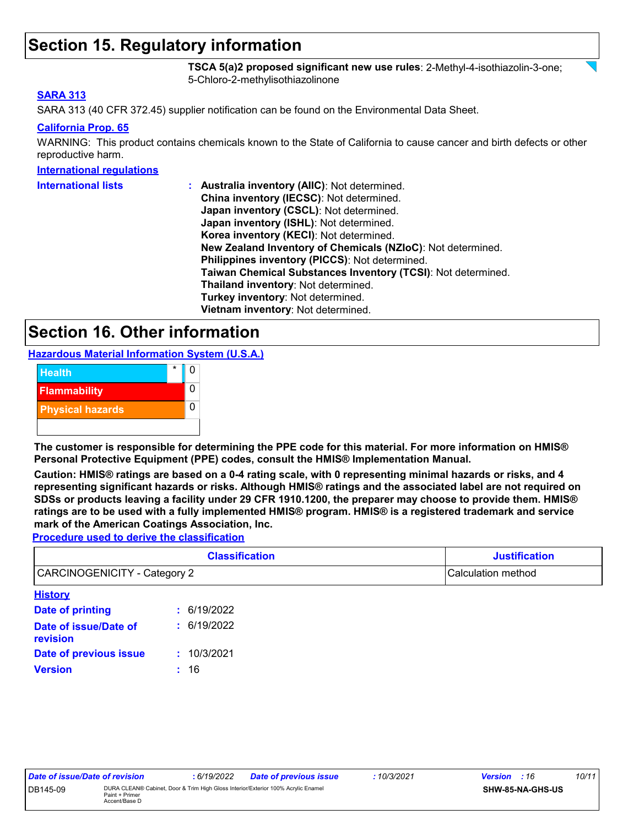### **Section 15. Regulatory information**

**TSCA 5(a)2 proposed significant new use rules**: 2-Methyl-4-isothiazolin-3-one; 5-Chloro-2-methylisothiazolinone

#### **SARA 313**

SARA 313 (40 CFR 372.45) supplier notification can be found on the Environmental Data Sheet.

#### **California Prop. 65**

WARNING: This product contains chemicals known to the State of California to cause cancer and birth defects or other reproductive harm.

#### **International regulations**

| <b>International lists</b> | : Australia inventory (AIIC): Not determined.                |
|----------------------------|--------------------------------------------------------------|
|                            | China inventory (IECSC): Not determined.                     |
|                            | Japan inventory (CSCL): Not determined.                      |
|                            | Japan inventory (ISHL): Not determined.                      |
|                            | Korea inventory (KECI): Not determined.                      |
|                            | New Zealand Inventory of Chemicals (NZIoC): Not determined.  |
|                            | Philippines inventory (PICCS): Not determined.               |
|                            | Taiwan Chemical Substances Inventory (TCSI): Not determined. |
|                            | Thailand inventory: Not determined.                          |
|                            | Turkey inventory: Not determined.                            |
|                            | Vietnam inventory: Not determined.                           |

### **Section 16. Other information**

**Hazardous Material Information System (U.S.A.)**



**The customer is responsible for determining the PPE code for this material. For more information on HMIS® Personal Protective Equipment (PPE) codes, consult the HMIS® Implementation Manual.**

**Caution: HMIS® ratings are based on a 0-4 rating scale, with 0 representing minimal hazards or risks, and 4 representing significant hazards or risks. Although HMIS® ratings and the associated label are not required on SDSs or products leaving a facility under 29 CFR 1910.1200, the preparer may choose to provide them. HMIS® ratings are to be used with a fully implemented HMIS® program. HMIS® is a registered trademark and service mark of the American Coatings Association, Inc.**

**Procedure used to derive the classification**

|                                   | <b>Classification</b> | <b>Justification</b> |
|-----------------------------------|-----------------------|----------------------|
| CARCINOGENICITY - Category 2      |                       | Calculation method   |
| <b>History</b>                    |                       |                      |
| Date of printing                  | : 6/19/2022           |                      |
| Date of issue/Date of<br>revision | : 6/19/2022           |                      |
| Date of previous issue            | 10/3/2021             |                      |
| <b>Version</b>                    | : 16                  |                      |